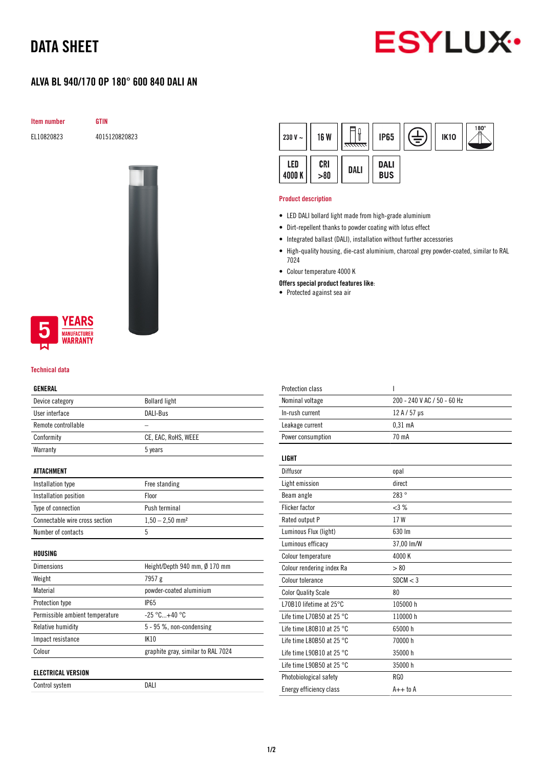# DATA SHEET



## ALVA BL 940/170 OP 180° 600 840 DALI AN

Item number GTIN

EL10820823 4015120820823





### Technical data

#### GENERAL

| Device category                 | <b>Bollard light</b>               |  |
|---------------------------------|------------------------------------|--|
| User interface                  | DALI-Bus                           |  |
| Remote controllable             |                                    |  |
| Conformity                      | CE, EAC, RoHS, WEEE                |  |
| Warranty                        | 5 years                            |  |
|                                 |                                    |  |
| ATTACHMENT                      |                                    |  |
| Installation type               | Free standing                      |  |
| Installation position           | Floor                              |  |
| Type of connection              | Push terminal                      |  |
| Connectable wire cross section  | $1,50 - 2,50$ mm <sup>2</sup>      |  |
| Number of contacts              | 5                                  |  |
|                                 |                                    |  |
| HOUSING                         |                                    |  |
| Dimensions                      | Height/Depth 940 mm, Ø 170 mm      |  |
| Weight                          | 7957 g                             |  |
| Material                        | powder-coated aluminium            |  |
| Protection type                 | <b>IP65</b>                        |  |
| Permissible ambient temperature | $-25 °C+40 °C$                     |  |
| <b>Relative humidity</b>        | 5 - 95 %, non-condensing           |  |
| Impact resistance               | IK10                               |  |
| Colour                          | graphite gray, similar to RAL 7024 |  |
|                                 |                                    |  |
| <b>ELECTRICAL VERSION</b>       |                                    |  |
| Control system                  | DALI                               |  |

| 230 V $\sim$ | <b>16 W</b> | <del>anna</del> | <b>IP65</b>               | Ė | <b>IK10</b> | $\mathbb{R}^{180^\circ}$ |
|--------------|-------------|-----------------|---------------------------|---|-------------|--------------------------|
| LED<br>4000K | CRI > 80    | DALI            | <b>DALI</b><br><b>BUS</b> |   |             |                          |

#### Product description

- LED DALI bollard light made from high-grade aluminium
- Dirt-repellent thanks to powder coating with lotus effect
- Integrated ballast (DALI), installation without further accessories
- High-quality housing, die-cast aluminium, charcoal grey powder-coated, similar to RAL 7024
- Colour temperature 4000 K
- Offers special product features like:
- Protected against sea air

| <b>Protection class</b>             | ı                           |
|-------------------------------------|-----------------------------|
| Nominal voltage                     | 200 - 240 V AC / 50 - 60 Hz |
| In-rush current                     | 12 A / 57 µs                |
| Leakage current                     | $0.31$ mA                   |
| Power consumption                   | 70 mA                       |
| <b>LIGHT</b>                        |                             |
| Diffusor                            | opal                        |
| Light emission                      | direct                      |
| Beam angle                          | 283°                        |
| <b>Flicker factor</b>               | <3%                         |
| Rated output P                      | 17W                         |
| Luminous Flux (light)               | 630 lm                      |
| Luminous efficacy                   | 37,00 lm/W                  |
| Colour temperature                  | 4000 K                      |
| Colour rendering index Ra           | > 80                        |
| Colour tolerance                    | SDCM < 3                    |
| <b>Color Quality Scale</b>          | 80                          |
| L70B10 lifetime at 25°C             | 105000 h                    |
| Life time L70B50 at 25 $^{\circ}$ C | 110000h                     |
| Life time L80B10 at 25 $^{\circ}$ C | 65000h                      |
| Life time L80B50 at 25 $^{\circ}$ C | 70000 h                     |
| Life time L90B10 at 25 $^{\circ}$ C | 35000h                      |
| Life time L90B50 at 25 °C           | 35000 h                     |
| Photobiological safety              | RG0                         |
| Energy efficiency class             | $A++$ to $A$                |
|                                     |                             |